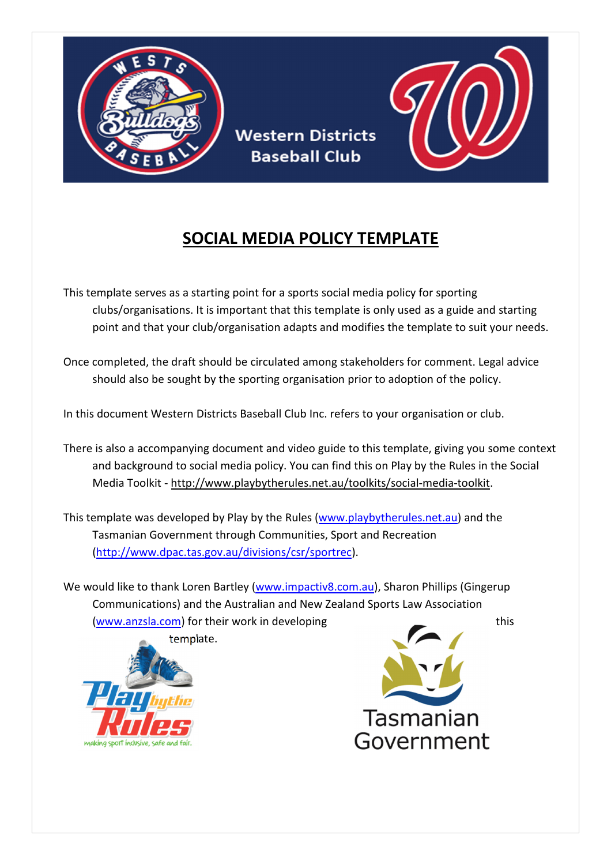

**Western Districts Baseball Club** 

# SOCIAL MEDIA POLICY TEMPLATE

This template serves as a starting point for a sports social media policy for sporting clubs/organisations. It is important that this template is only used as a guide and starting point and that your club/organisation adapts and modifies the template to suit your needs.

Once completed, the draft should be circulated among stakeholders for comment. Legal advice should also be sought by the sporting organisation prior to adoption of the policy.

In this document Western Districts Baseball Club Inc. refers to your organisation or club.

There is also a accompanying document and video guide to this template, giving you some context and background to social media policy. You can find this on Play by the Rules in the Social Media Toolkit - http://www.playbytherules.net.au/toolkits/social-media-toolkit.

This template was developed by Play by the Rules (www.playbytherules.net.au) and the Tasmanian Government through Communities, Sport and Recreation (http://www.dpac.tas.gov.au/divisions/csr/sportrec).

We would like to thank Loren Bartley (www.impactiv8.com.au), Sharon Phillips (Gingerup Communications) and the Australian and New Zealand Sports Law Association (www.anzsla.com) for their work in developing this this



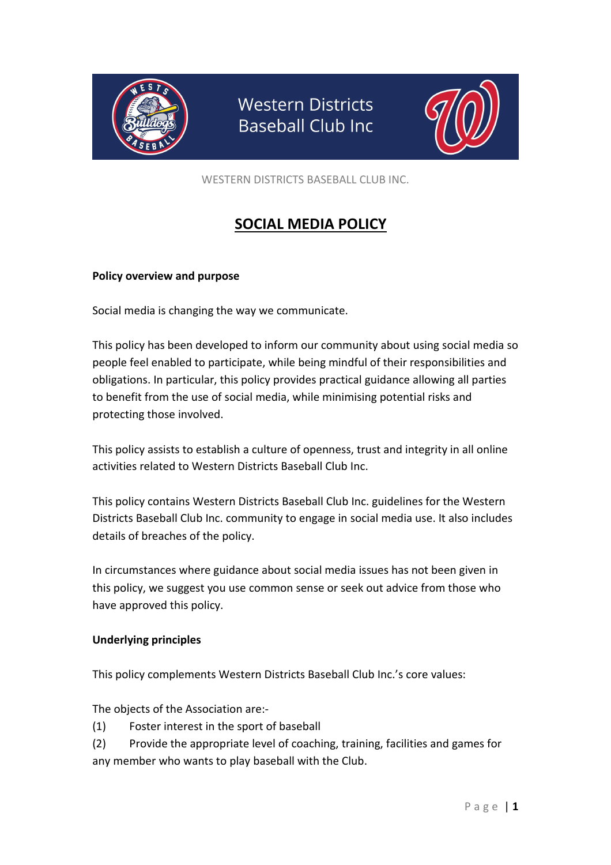

**Western Districts Baseball Club Inc** 



WESTERN DISTRICTS BASEBALL CLUB INC.

# SOCIAL MEDIA POLICY

### Policy overview and purpose

Social media is changing the way we communicate.

This policy has been developed to inform our community about using social media so people feel enabled to participate, while being mindful of their responsibilities and obligations. In particular, this policy provides practical guidance allowing all parties to benefit from the use of social media, while minimising potential risks and protecting those involved.

This policy assists to establish a culture of openness, trust and integrity in all online activities related to Western Districts Baseball Club Inc.

This policy contains Western Districts Baseball Club Inc. guidelines for the Western Districts Baseball Club Inc. community to engage in social media use. It also includes details of breaches of the policy.

In circumstances where guidance about social media issues has not been given in this policy, we suggest you use common sense or seek out advice from those who have approved this policy.

### Underlying principles

This policy complements Western Districts Baseball Club Inc.'s core values:

The objects of the Association are:-

- (1) Foster interest in the sport of baseball
- (2) Provide the appropriate level of coaching, training, facilities and games for any member who wants to play baseball with the Club.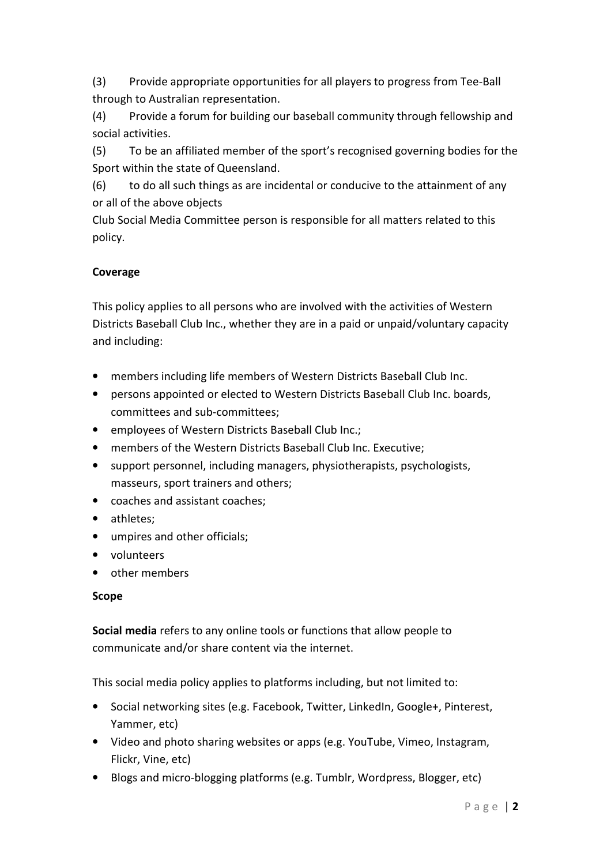(3) Provide appropriate opportunities for all players to progress from Tee-Ball through to Australian representation.

(4) Provide a forum for building our baseball community through fellowship and social activities.

(5) To be an affiliated member of the sport's recognised governing bodies for the Sport within the state of Queensland.

(6) to do all such things as are incidental or conducive to the attainment of any or all of the above objects

Club Social Media Committee person is responsible for all matters related to this policy.

# Coverage

This policy applies to all persons who are involved with the activities of Western Districts Baseball Club Inc., whether they are in a paid or unpaid/voluntary capacity and including:

- members including life members of Western Districts Baseball Club Inc.
- persons appointed or elected to Western Districts Baseball Club Inc. boards, committees and sub-committees;
- employees of Western Districts Baseball Club Inc.;
- members of the Western Districts Baseball Club Inc. Executive;
- support personnel, including managers, physiotherapists, psychologists, masseurs, sport trainers and others;
- coaches and assistant coaches;
- athletes;
- umpires and other officials;
- volunteers
- other members

# Scope

Social media refers to any online tools or functions that allow people to communicate and/or share content via the internet.

This social media policy applies to platforms including, but not limited to:

- Social networking sites (e.g. Facebook, Twitter, LinkedIn, Google+, Pinterest, Yammer, etc)
- Video and photo sharing websites or apps (e.g. YouTube, Vimeo, Instagram, Flickr, Vine, etc)
- Blogs and micro-blogging platforms (e.g. Tumblr, Wordpress, Blogger, etc)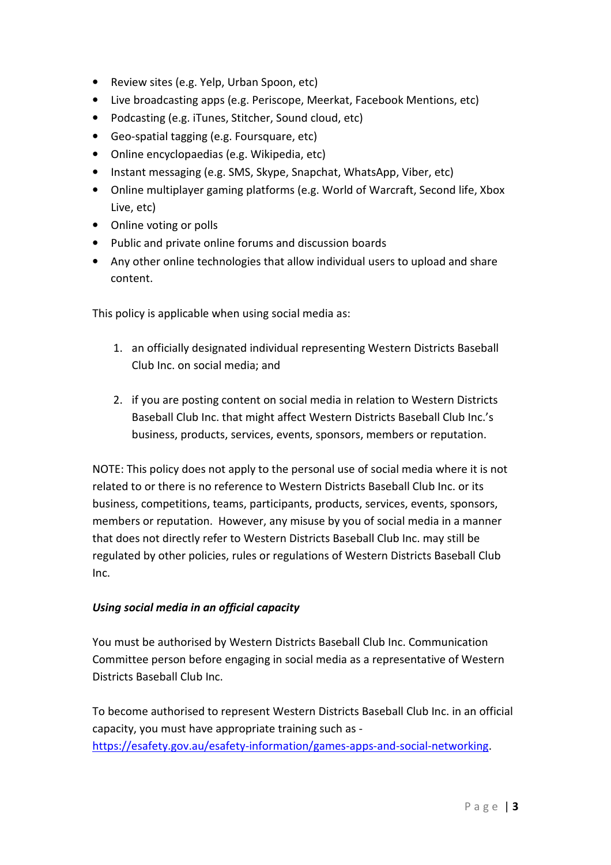- Review sites (e.g. Yelp, Urban Spoon, etc)
- Live broadcasting apps (e.g. Periscope, Meerkat, Facebook Mentions, etc)
- Podcasting (e.g. iTunes, Stitcher, Sound cloud, etc)
- Geo-spatial tagging (e.g. Foursquare, etc)
- Online encyclopaedias (e.g. Wikipedia, etc)
- Instant messaging (e.g. SMS, Skype, Snapchat, WhatsApp, Viber, etc)
- Online multiplayer gaming platforms (e.g. World of Warcraft, Second life, Xbox Live, etc)
- Online voting or polls
- Public and private online forums and discussion boards
- Any other online technologies that allow individual users to upload and share content.

This policy is applicable when using social media as:

- 1. an officially designated individual representing Western Districts Baseball Club Inc. on social media; and
- 2. if you are posting content on social media in relation to Western Districts Baseball Club Inc. that might affect Western Districts Baseball Club Inc.'s business, products, services, events, sponsors, members or reputation.

NOTE: This policy does not apply to the personal use of social media where it is not related to or there is no reference to Western Districts Baseball Club Inc. or its business, competitions, teams, participants, products, services, events, sponsors, members or reputation. However, any misuse by you of social media in a manner that does not directly refer to Western Districts Baseball Club Inc. may still be regulated by other policies, rules or regulations of Western Districts Baseball Club Inc.

# Using social media in an official capacity

You must be authorised by Western Districts Baseball Club Inc. Communication Committee person before engaging in social media as a representative of Western Districts Baseball Club Inc.

To become authorised to represent Western Districts Baseball Club Inc. in an official capacity, you must have appropriate training such as https://esafety.gov.au/esafety-information/games-apps-and-social-networking.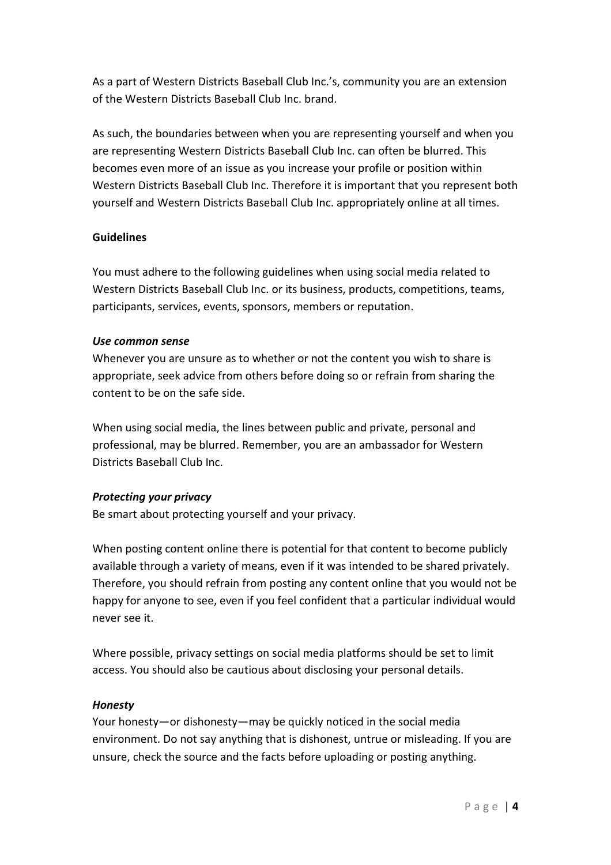As a part of Western Districts Baseball Club Inc.'s, community you are an extension of the Western Districts Baseball Club Inc. brand.

As such, the boundaries between when you are representing yourself and when you are representing Western Districts Baseball Club Inc. can often be blurred. This becomes even more of an issue as you increase your profile or position within Western Districts Baseball Club Inc. Therefore it is important that you represent both yourself and Western Districts Baseball Club Inc. appropriately online at all times.

#### Guidelines

You must adhere to the following guidelines when using social media related to Western Districts Baseball Club Inc. or its business, products, competitions, teams, participants, services, events, sponsors, members or reputation.

#### Use common sense

Whenever you are unsure as to whether or not the content you wish to share is appropriate, seek advice from others before doing so or refrain from sharing the content to be on the safe side.

When using social media, the lines between public and private, personal and professional, may be blurred. Remember, you are an ambassador for Western Districts Baseball Club Inc.

### Protecting your privacy

Be smart about protecting yourself and your privacy.

When posting content online there is potential for that content to become publicly available through a variety of means, even if it was intended to be shared privately. Therefore, you should refrain from posting any content online that you would not be happy for anyone to see, even if you feel confident that a particular individual would never see it.

Where possible, privacy settings on social media platforms should be set to limit access. You should also be cautious about disclosing your personal details.

### Honesty

Your honesty—or dishonesty—may be quickly noticed in the social media environment. Do not say anything that is dishonest, untrue or misleading. If you are unsure, check the source and the facts before uploading or posting anything.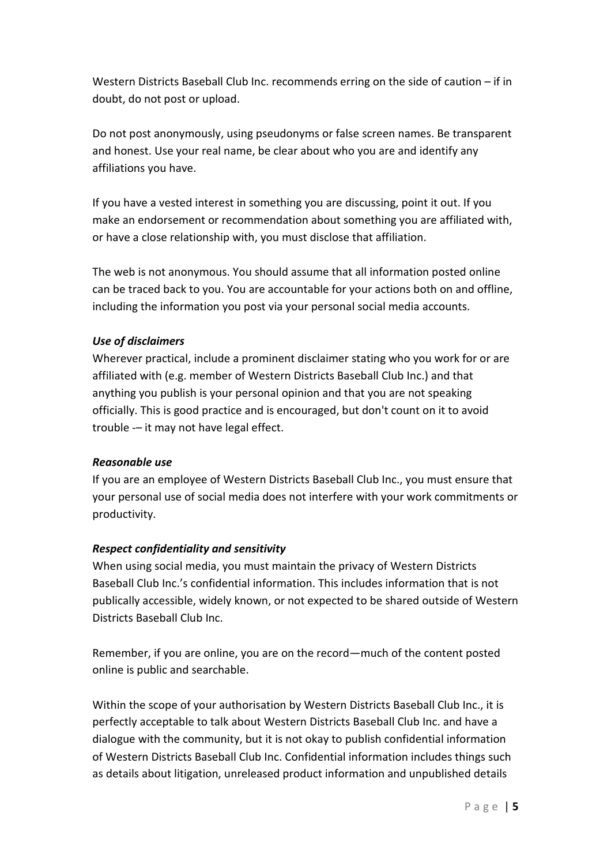Western Districts Baseball Club Inc. recommends erring on the side of caution – if in doubt, do not post or upload.

Do not post anonymously, using pseudonyms or false screen names. Be transparent and honest. Use your real name, be clear about who you are and identify any affiliations you have.

If you have a vested interest in something you are discussing, point it out. If you make an endorsement or recommendation about something you are affiliated with, or have a close relationship with, you must disclose that affiliation.

The web is not anonymous. You should assume that all information posted online can be traced back to you. You are accountable for your actions both on and offline, including the information you post via your personal social media accounts.

### Use of disclaimers

Wherever practical, include a prominent disclaimer stating who you work for or are affiliated with (e.g. member of Western Districts Baseball Club Inc.) and that anything you publish is your personal opinion and that you are not speaking officially. This is good practice and is encouraged, but don't count on it to avoid trouble -– it may not have legal effect.

### Reasonable use

If you are an employee of Western Districts Baseball Club Inc., you must ensure that your personal use of social media does not interfere with your work commitments or productivity.

# Respect confidentiality and sensitivity

When using social media, you must maintain the privacy of Western Districts Baseball Club Inc.'s confidential information. This includes information that is not publically accessible, widely known, or not expected to be shared outside of Western Districts Baseball Club Inc.

Remember, if you are online, you are on the record—much of the content posted online is public and searchable.

Within the scope of your authorisation by Western Districts Baseball Club Inc., it is perfectly acceptable to talk about Western Districts Baseball Club Inc. and have a dialogue with the community, but it is not okay to publish confidential information of Western Districts Baseball Club Inc. Confidential information includes things such as details about litigation, unreleased product information and unpublished details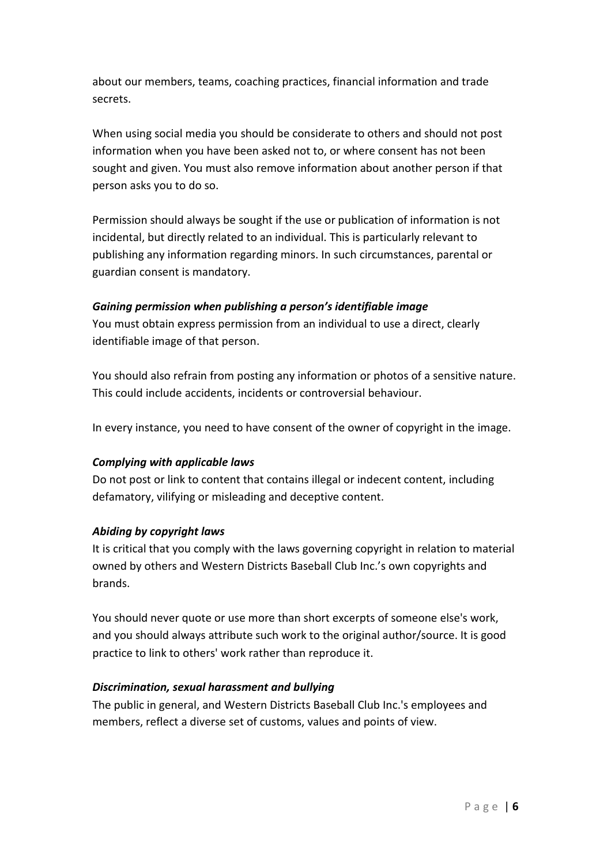about our members, teams, coaching practices, financial information and trade secrets.

When using social media you should be considerate to others and should not post information when you have been asked not to, or where consent has not been sought and given. You must also remove information about another person if that person asks you to do so.

Permission should always be sought if the use or publication of information is not incidental, but directly related to an individual. This is particularly relevant to publishing any information regarding minors. In such circumstances, parental or guardian consent is mandatory.

#### Gaining permission when publishing a person's identifiable image

You must obtain express permission from an individual to use a direct, clearly identifiable image of that person.

You should also refrain from posting any information or photos of a sensitive nature. This could include accidents, incidents or controversial behaviour.

In every instance, you need to have consent of the owner of copyright in the image.

### Complying with applicable laws

Do not post or link to content that contains illegal or indecent content, including defamatory, vilifying or misleading and deceptive content.

### Abiding by copyright laws

It is critical that you comply with the laws governing copyright in relation to material owned by others and Western Districts Baseball Club Inc.'s own copyrights and brands.

You should never quote or use more than short excerpts of someone else's work, and you should always attribute such work to the original author/source. It is good practice to link to others' work rather than reproduce it.

#### Discrimination, sexual harassment and bullying

The public in general, and Western Districts Baseball Club Inc.'s employees and members, reflect a diverse set of customs, values and points of view.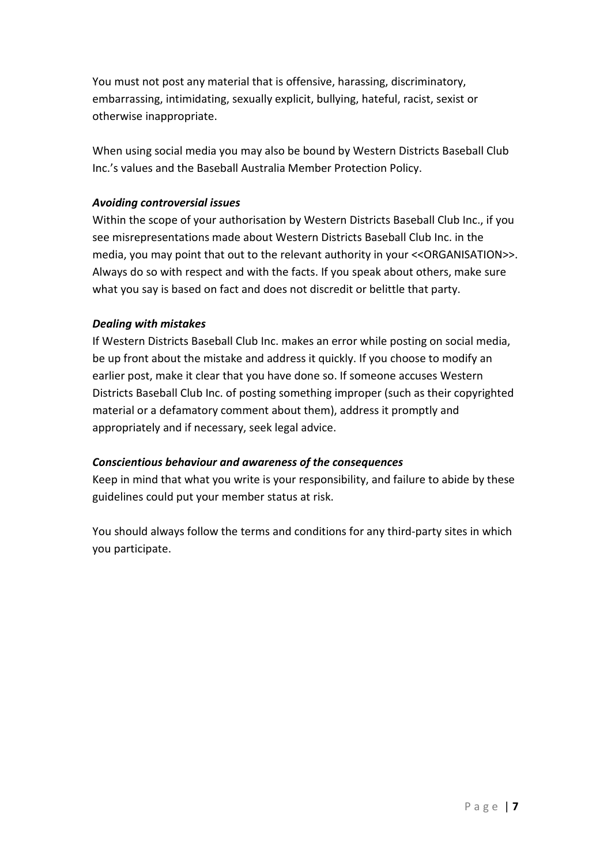You must not post any material that is offensive, harassing, discriminatory, embarrassing, intimidating, sexually explicit, bullying, hateful, racist, sexist or otherwise inappropriate.

When using social media you may also be bound by Western Districts Baseball Club Inc.'s values and the Baseball Australia Member Protection Policy.

### Avoiding controversial issues

Within the scope of your authorisation by Western Districts Baseball Club Inc., if you see misrepresentations made about Western Districts Baseball Club Inc. in the media, you may point that out to the relevant authority in your <<ORGANISATION>>. Always do so with respect and with the facts. If you speak about others, make sure what you say is based on fact and does not discredit or belittle that party.

#### Dealing with mistakes

If Western Districts Baseball Club Inc. makes an error while posting on social media, be up front about the mistake and address it quickly. If you choose to modify an earlier post, make it clear that you have done so. If someone accuses Western Districts Baseball Club Inc. of posting something improper (such as their copyrighted material or a defamatory comment about them), address it promptly and appropriately and if necessary, seek legal advice.

### Conscientious behaviour and awareness of the consequences

Keep in mind that what you write is your responsibility, and failure to abide by these guidelines could put your member status at risk.

You should always follow the terms and conditions for any third-party sites in which you participate.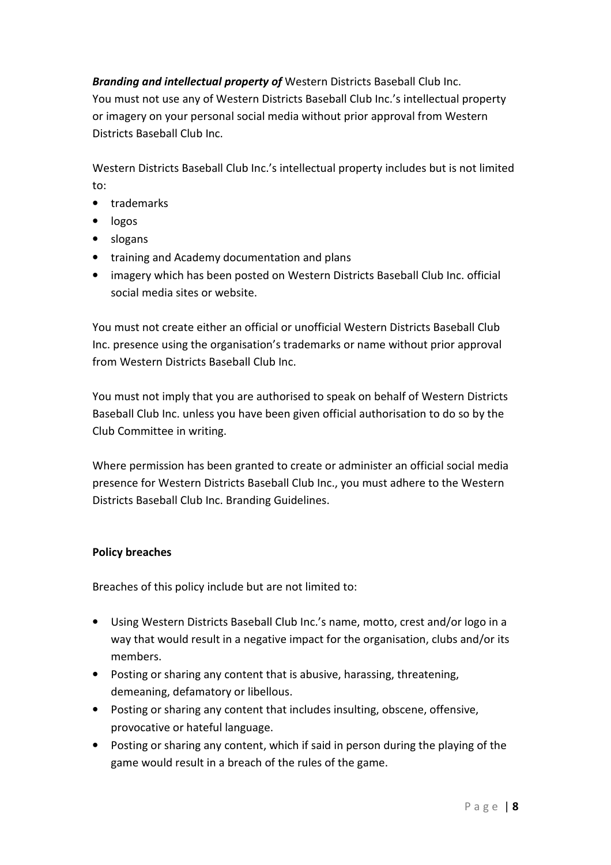Branding and intellectual property of Western Districts Baseball Club Inc. You must not use any of Western Districts Baseball Club Inc.'s intellectual property or imagery on your personal social media without prior approval from Western Districts Baseball Club Inc.

Western Districts Baseball Club Inc.'s intellectual property includes but is not limited to:

- trademarks
- logos
- slogans
- training and Academy documentation and plans
- imagery which has been posted on Western Districts Baseball Club Inc. official social media sites or website.

You must not create either an official or unofficial Western Districts Baseball Club Inc. presence using the organisation's trademarks or name without prior approval from Western Districts Baseball Club Inc.

You must not imply that you are authorised to speak on behalf of Western Districts Baseball Club Inc. unless you have been given official authorisation to do so by the Club Committee in writing.

Where permission has been granted to create or administer an official social media presence for Western Districts Baseball Club Inc., you must adhere to the Western Districts Baseball Club Inc. Branding Guidelines.

### Policy breaches

Breaches of this policy include but are not limited to:

- Using Western Districts Baseball Club Inc.'s name, motto, crest and/or logo in a way that would result in a negative impact for the organisation, clubs and/or its members.
- Posting or sharing any content that is abusive, harassing, threatening, demeaning, defamatory or libellous.
- Posting or sharing any content that includes insulting, obscene, offensive, provocative or hateful language.
- Posting or sharing any content, which if said in person during the playing of the game would result in a breach of the rules of the game.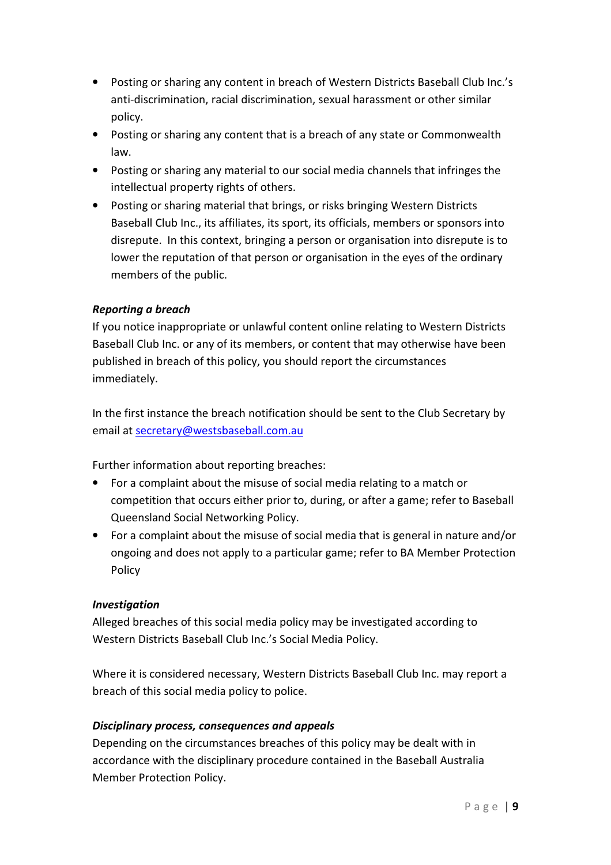- Posting or sharing any content in breach of Western Districts Baseball Club Inc.'s anti-discrimination, racial discrimination, sexual harassment or other similar policy.
- Posting or sharing any content that is a breach of any state or Commonwealth law.
- Posting or sharing any material to our social media channels that infringes the intellectual property rights of others.
- Posting or sharing material that brings, or risks bringing Western Districts Baseball Club Inc., its affiliates, its sport, its officials, members or sponsors into disrepute. In this context, bringing a person or organisation into disrepute is to lower the reputation of that person or organisation in the eyes of the ordinary members of the public.

# Reporting a breach

If you notice inappropriate or unlawful content online relating to Western Districts Baseball Club Inc. or any of its members, or content that may otherwise have been published in breach of this policy, you should report the circumstances immediately.

In the first instance the breach notification should be sent to the Club Secretary by email at secretary@westsbaseball.com.au

Further information about reporting breaches:

- For a complaint about the misuse of social media relating to a match or competition that occurs either prior to, during, or after a game; refer to Baseball Queensland Social Networking Policy.
- For a complaint about the misuse of social media that is general in nature and/or ongoing and does not apply to a particular game; refer to BA Member Protection Policy

# Investigation

Alleged breaches of this social media policy may be investigated according to Western Districts Baseball Club Inc.'s Social Media Policy.

Where it is considered necessary, Western Districts Baseball Club Inc. may report a breach of this social media policy to police.

# Disciplinary process, consequences and appeals

Depending on the circumstances breaches of this policy may be dealt with in accordance with the disciplinary procedure contained in the Baseball Australia Member Protection Policy.